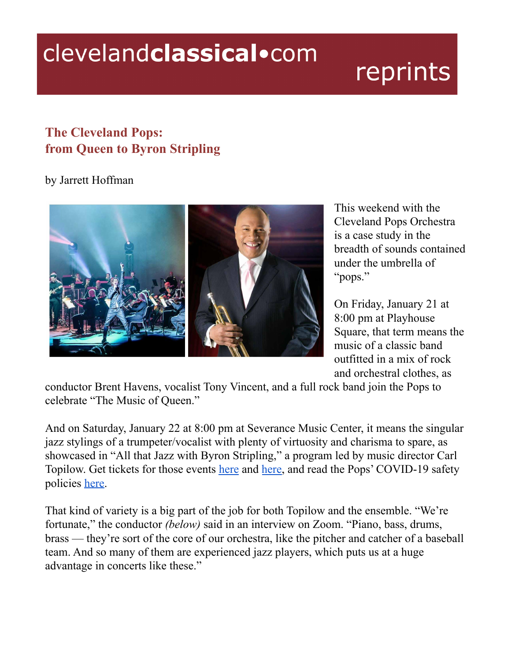## clevelandclassical.com

## reprints

## **The Cleveland Pops: from Queen to Byron Stripling**

## by Jarrett Hoffman



This weekend with the Cleveland Pops Orchestra is a case study in the breadth of sounds contained under the umbrella of "pops."

On Friday, January 21 at 8:00 pm at Playhouse Square, that term means the music of a classic band outfitted in a mix of rock and orchestral clothes, as

conductor Brent Havens, vocalist Tony Vincent, and a full rock band join the Pops to celebrate "The Music of Queen."

And on Saturday, January 22 at 8:00 pm at Severance Music Center, it means the singular jazz stylings of a trumpeter/vocalist with plenty of virtuosity and charisma to spare, as showcased in "All that Jazz with Byron Stripling," a program led by music director Carl Topilow. Get tickets for those events [here](https://www.clevelandpops.com/concert/the-music-of-queen/) and [here,](https://www.clevelandpops.com/concert/jazz/) and read the Pops' COVID-19 safety policies [here](https://www.clevelandpops.com/plan-your-experience/safety/).

That kind of variety is a big part of the job for both Topilow and the ensemble. "We're fortunate," the conductor *(below)* said in an interview on Zoom. "Piano, bass, drums, brass — they're sort of the core of our orchestra, like the pitcher and catcher of a baseball team. And so many of them are experienced jazz players, which puts us at a huge advantage in concerts like these."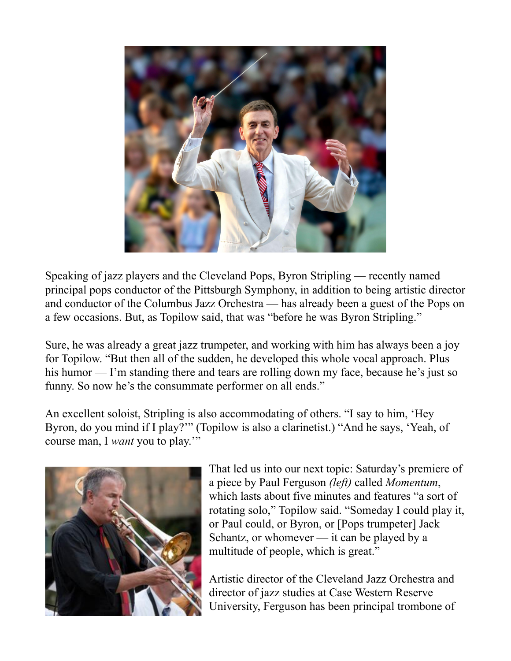

Speaking of jazz players and the Cleveland Pops, Byron Stripling — recently named principal pops conductor of the Pittsburgh Symphony, in addition to being artistic director and conductor of the Columbus Jazz Orchestra — has already been a guest of the Pops on a few occasions. But, as Topilow said, that was "before he was Byron Stripling."

Sure, he was already a great jazz trumpeter, and working with him has always been a joy for Topilow. "But then all of the sudden, he developed this whole vocal approach. Plus his humor — I'm standing there and tears are rolling down my face, because he's just so funny. So now he's the consummate performer on all ends."

An excellent soloist, Stripling is also accommodating of others. "I say to him, 'Hey Byron, do you mind if I play?'" (Topilow is also a clarinetist.) "And he says, 'Yeah, of course man, I *want* you to play.'"



That led us into our next topic: Saturday's premiere of a piece by Paul Ferguson *(left)* called *Momentum*, which lasts about five minutes and features "a sort of rotating solo," Topilow said. "Someday I could play it, or Paul could, or Byron, or [Pops trumpeter] Jack Schantz, or whomever — it can be played by a multitude of people, which is great."

Artistic director of the Cleveland Jazz Orchestra and director of jazz studies at Case Western Reserve University, Ferguson has been principal trombone of